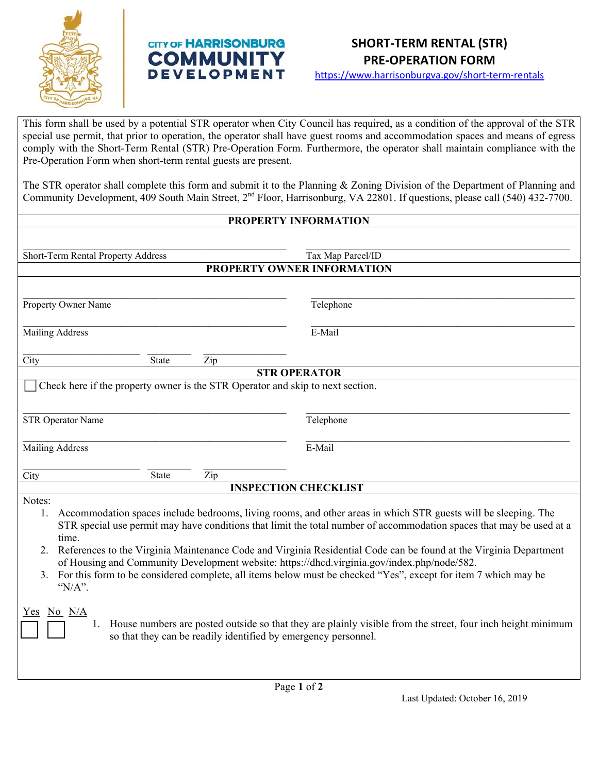

## **CITY OF HARRISONBURG COMMUNIT DEVELOPMENT**



https://www.harrisonburgva.gov/short‐term‐rentals

This form shall be used by a potential STR operator when City Council has required, as a condition of the approval of the STR special use permit, that prior to operation, the operator shall have guest rooms and accommodation spaces and means of egress comply with the Short-Term Rental (STR) Pre-Operation Form. Furthermore, the operator shall maintain compliance with the Pre-Operation Form when short-term rental guests are present.

The STR operator shall complete this form and submit it to the Planning & Zoning Division of the Department of Planning and Community Development, 409 South Main Street, 2<sup>nd</sup> Floor, Harrisonburg, VA 22801. If questions, please call (540) 432-7700.

## **PROPERTY INFORMATION**

| Short-Term Rental Property Address                                                                                                                                                                                                                                                                                                                                                                                                                                                                                                                                                                                          | Tax Map Parcel/ID |  |
|-----------------------------------------------------------------------------------------------------------------------------------------------------------------------------------------------------------------------------------------------------------------------------------------------------------------------------------------------------------------------------------------------------------------------------------------------------------------------------------------------------------------------------------------------------------------------------------------------------------------------------|-------------------|--|
| PROPERTY OWNER INFORMATION                                                                                                                                                                                                                                                                                                                                                                                                                                                                                                                                                                                                  |                   |  |
| Property Owner Name                                                                                                                                                                                                                                                                                                                                                                                                                                                                                                                                                                                                         | Telephone         |  |
|                                                                                                                                                                                                                                                                                                                                                                                                                                                                                                                                                                                                                             | E-Mail            |  |
| <b>Mailing Address</b>                                                                                                                                                                                                                                                                                                                                                                                                                                                                                                                                                                                                      |                   |  |
| City<br><b>State</b><br>Zip                                                                                                                                                                                                                                                                                                                                                                                                                                                                                                                                                                                                 |                   |  |
| <b>STR OPERATOR</b>                                                                                                                                                                                                                                                                                                                                                                                                                                                                                                                                                                                                         |                   |  |
| Check here if the property owner is the STR Operator and skip to next section.                                                                                                                                                                                                                                                                                                                                                                                                                                                                                                                                              |                   |  |
| STR Operator Name                                                                                                                                                                                                                                                                                                                                                                                                                                                                                                                                                                                                           | Telephone         |  |
| Mailing Address                                                                                                                                                                                                                                                                                                                                                                                                                                                                                                                                                                                                             | E-Mail            |  |
| City<br>State<br>Zip                                                                                                                                                                                                                                                                                                                                                                                                                                                                                                                                                                                                        |                   |  |
| <b>INSPECTION CHECKLIST</b>                                                                                                                                                                                                                                                                                                                                                                                                                                                                                                                                                                                                 |                   |  |
| Notes:<br>Accommodation spaces include bedrooms, living rooms, and other areas in which STR guests will be sleeping. The<br>1.<br>STR special use permit may have conditions that limit the total number of accommodation spaces that may be used at a<br>time.<br>References to the Virginia Maintenance Code and Virginia Residential Code can be found at the Virginia Department<br>2.<br>of Housing and Community Development website: https://dhcd.virginia.gov/index.php/node/582.<br>For this form to be considered complete, all items below must be checked "Yes", except for item 7 which may be<br>3.<br>"N/A". |                   |  |
| $No$ $N/A$<br>Y es<br>House numbers are posted outside so that they are plainly visible from the street, four inch height minimum<br>1.<br>so that they can be readily identified by emergency personnel.                                                                                                                                                                                                                                                                                                                                                                                                                   |                   |  |